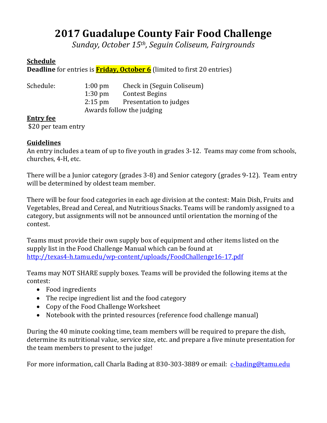# **2017 Guadalupe County Fair Food Challenge**

*Sunday, October 15th, Seguin Coliseum, Fairgrounds*

#### **Schedule**

**Deadline** for entries is **Friday, October 6** (limited to first 20 entries)

| Schedule: | $1:00 \text{ pm}$         | Check in (Seguin Coliseum) |
|-----------|---------------------------|----------------------------|
|           | $1:30 \text{ pm}$         | Contest Begins             |
|           | $2:15$ pm                 | Presentation to judges     |
|           | Awards follow the judging |                            |
|           |                           |                            |

#### **Entry fee**

\$20 per team entry

#### **Guidelines**

An entry includes a team of up to five youth in grades 3-12. Teams may come from schools, churches, 4-H, etc.

There will be a Junior category (grades 3-8) and Senior category (grades 9-12). Team entry will be determined by oldest team member.

There will be four food categories in each age division at the contest: Main Dish, Fruits and Vegetables, Bread and Cereal, and Nutritious Snacks. Teams will be randomly assigned to a category, but assignments will not be announced until orientation the morning of the contest.

Teams must provide their own supply box of equipment and other items listed on the supply list in the Food Challenge Manual which can be found at <http://texas4-h.tamu.edu/wp-content/uploads/FoodChallenge16-17.pdf>

Teams may NOT SHARE supply boxes. Teams will be provided the following items at the contest:

- Food ingredients
- The recipe ingredient list and the food category
- Copy of the Food Challenge Worksheet
- Notebook with the printed resources (reference food challenge manual)

During the 40 minute cooking time, team members will be required to prepare the dish, determine its nutritional value, service size, etc. and prepare a five minute presentation for the team members to present to the judge!

For more information, call Charla Bading at 830-303-3889 or email: [c-bading@tamu.edu](mailto:c-bading@tamu.edu)